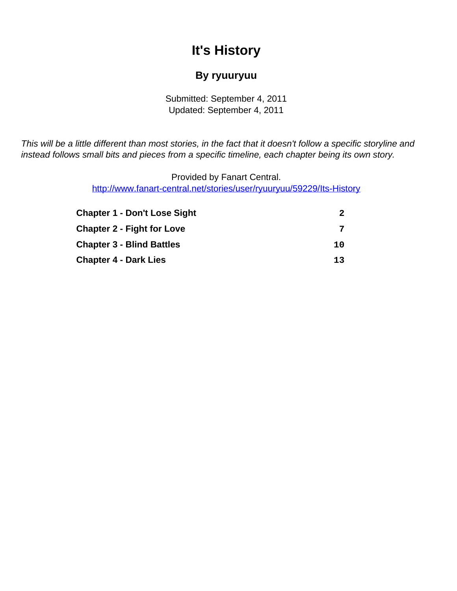# **It's History**

### **By ryuuryuu**

Submitted: September 4, 2011 Updated: September 4, 2011

<span id="page-0-0"></span>This will be a little different than most stories, in the fact that it doesn't follow a specific storyline and instead follows small bits and pieces from a specific timeline, each chapter being its own story.

> Provided by Fanart Central. [http://www.fanart-central.net/stories/user/ryuuryuu/59229/Its-History](#page-0-0)

| <b>Chapter 1 - Don't Lose Sight</b> | 2  |
|-------------------------------------|----|
| <b>Chapter 2 - Fight for Love</b>   | 7  |
| <b>Chapter 3 - Blind Battles</b>    | 10 |
| <b>Chapter 4 - Dark Lies</b>        | 13 |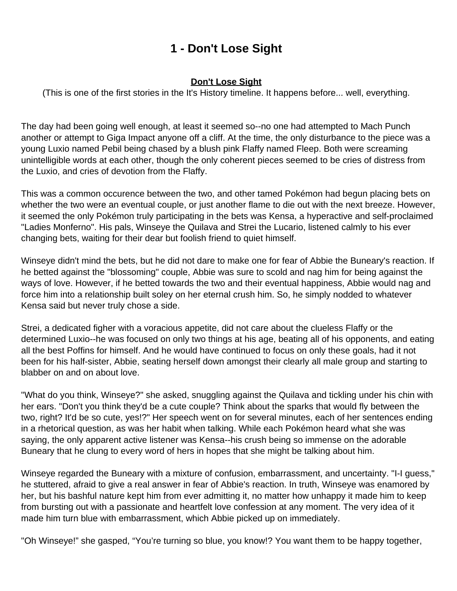# **1 - Don't Lose Sight**

#### **Don't Lose Sight**

<span id="page-1-0"></span>(This is one of the first stories in the It's History timeline. It happens before... well, everything.

The day had been going well enough, at least it seemed so--no one had attempted to Mach Punch another or attempt to Giga Impact anyone off a cliff. At the time, the only disturbance to the piece was a young Luxio named Pebil being chased by a blush pink Flaffy named Fleep. Both were screaming unintelligible words at each other, though the only coherent pieces seemed to be cries of distress from the Luxio, and cries of devotion from the Flaffy.

This was a common occurence between the two, and other tamed Pokémon had begun placing bets on whether the two were an eventual couple, or just another flame to die out with the next breeze. However, it seemed the only Pokémon truly participating in the bets was Kensa, a hyperactive and self-proclaimed "Ladies Monferno". His pals, Winseye the Quilava and Strei the Lucario, listened calmly to his ever changing bets, waiting for their dear but foolish friend to quiet himself.

Winseye didn't mind the bets, but he did not dare to make one for fear of Abbie the Buneary's reaction. If he betted against the "blossoming" couple, Abbie was sure to scold and nag him for being against the ways of love. However, if he betted towards the two and their eventual happiness, Abbie would nag and force him into a relationship built soley on her eternal crush him. So, he simply nodded to whatever Kensa said but never truly chose a side.

Strei, a dedicated figher with a voracious appetite, did not care about the clueless Flaffy or the determined Luxio--he was focused on only two things at his age, beating all of his opponents, and eating all the best Poffins for himself. And he would have continued to focus on only these goals, had it not been for his half-sister, Abbie, seating herself down amongst their clearly all male group and starting to blabber on and on about love.

"What do you think, Winseye?" she asked, snuggling against the Quilava and tickling under his chin with her ears. "Don't you think they'd be a cute couple? Think about the sparks that would fly between the two, right? It'd be so cute, yes!?" Her speech went on for several minutes, each of her sentences ending in a rhetorical question, as was her habit when talking. While each Pokémon heard what she was saying, the only apparent active listener was Kensa--his crush being so immense on the adorable Buneary that he clung to every word of hers in hopes that she might be talking about him.

Winseye regarded the Buneary with a mixture of confusion, embarrassment, and uncertainty. "I-I guess," he stuttered, afraid to give a real answer in fear of Abbie's reaction. In truth, Winseye was enamored by her, but his bashful nature kept him from ever admitting it, no matter how unhappy it made him to keep from bursting out with a passionate and heartfelt love confession at any moment. The very idea of it made him turn blue with embarrassment, which Abbie picked up on immediately.

"Oh Winseye!" she gasped, "You're turning so blue, you know!? You want them to be happy together,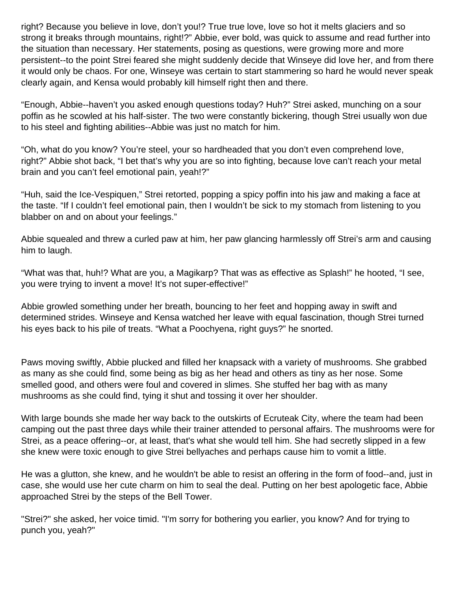right? Because you believe in love, don't you!? True true love, love so hot it melts glaciers and so strong it breaks through mountains, right!?" Abbie, ever bold, was quick to assume and read further into the situation than necessary. Her statements, posing as questions, were growing more and more persistent--to the point Strei feared she might suddenly decide that Winseye did love her, and from there it would only be chaos. For one, Winseye was certain to start stammering so hard he would never speak clearly again, and Kensa would probably kill himself right then and there.

"Enough, Abbie--haven't you asked enough questions today? Huh?" Strei asked, munching on a sour poffin as he scowled at his half-sister. The two were constantly bickering, though Strei usually won due to his steel and fighting abilities--Abbie was just no match for him.

"Oh, what do you know? You're steel, your so hardheaded that you don't even comprehend love, right?" Abbie shot back, "I bet that's why you are so into fighting, because love can't reach your metal brain and you can't feel emotional pain, yeah!?"

"Huh, said the Ice-Vespiquen," Strei retorted, popping a spicy poffin into his jaw and making a face at the taste. "If I couldn't feel emotional pain, then I wouldn't be sick to my stomach from listening to you blabber on and on about your feelings."

Abbie squealed and threw a curled paw at him, her paw glancing harmlessly off Strei's arm and causing him to laugh.

"What was that, huh!? What are you, a Magikarp? That was as effective as Splash!" he hooted, "I see, you were trying to invent a move! It's not super-effective!"

Abbie growled something under her breath, bouncing to her feet and hopping away in swift and determined strides. Winseye and Kensa watched her leave with equal fascination, though Strei turned his eyes back to his pile of treats. "What a Poochyena, right guys?" he snorted.

Paws moving swiftly, Abbie plucked and filled her knapsack with a variety of mushrooms. She grabbed as many as she could find, some being as big as her head and others as tiny as her nose. Some smelled good, and others were foul and covered in slimes. She stuffed her bag with as many mushrooms as she could find, tying it shut and tossing it over her shoulder.

With large bounds she made her way back to the outskirts of Ecruteak City, where the team had been camping out the past three days while their trainer attended to personal affairs. The mushrooms were for Strei, as a peace offering--or, at least, that's what she would tell him. She had secretly slipped in a few she knew were toxic enough to give Strei bellyaches and perhaps cause him to vomit a little.

He was a glutton, she knew, and he wouldn't be able to resist an offering in the form of food--and, just in case, she would use her cute charm on him to seal the deal. Putting on her best apologetic face, Abbie approached Strei by the steps of the Bell Tower.

"Strei?" she asked, her voice timid. "I'm sorry for bothering you earlier, you know? And for trying to punch you, yeah?"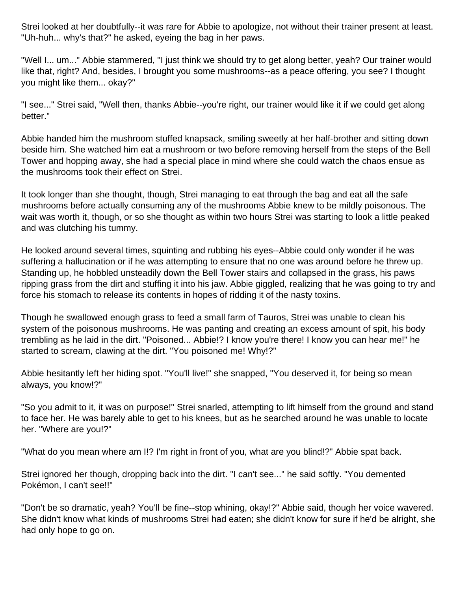Strei looked at her doubtfully--it was rare for Abbie to apologize, not without their trainer present at least. "Uh-huh... why's that?" he asked, eyeing the bag in her paws.

"Well I... um..." Abbie stammered, "I just think we should try to get along better, yeah? Our trainer would like that, right? And, besides, I brought you some mushrooms--as a peace offering, you see? I thought you might like them... okay?"

"I see..." Strei said, "Well then, thanks Abbie--you're right, our trainer would like it if we could get along better."

Abbie handed him the mushroom stuffed knapsack, smiling sweetly at her half-brother and sitting down beside him. She watched him eat a mushroom or two before removing herself from the steps of the Bell Tower and hopping away, she had a special place in mind where she could watch the chaos ensue as the mushrooms took their effect on Strei.

It took longer than she thought, though, Strei managing to eat through the bag and eat all the safe mushrooms before actually consuming any of the mushrooms Abbie knew to be mildly poisonous. The wait was worth it, though, or so she thought as within two hours Strei was starting to look a little peaked and was clutching his tummy.

He looked around several times, squinting and rubbing his eyes--Abbie could only wonder if he was suffering a hallucination or if he was attempting to ensure that no one was around before he threw up. Standing up, he hobbled unsteadily down the Bell Tower stairs and collapsed in the grass, his paws ripping grass from the dirt and stuffing it into his jaw. Abbie giggled, realizing that he was going to try and force his stomach to release its contents in hopes of ridding it of the nasty toxins.

Though he swallowed enough grass to feed a small farm of Tauros, Strei was unable to clean his system of the poisonous mushrooms. He was panting and creating an excess amount of spit, his body trembling as he laid in the dirt. "Poisoned... Abbie!? I know you're there! I know you can hear me!" he started to scream, clawing at the dirt. "You poisoned me! Why!?"

Abbie hesitantly left her hiding spot. "You'll live!" she snapped, "You deserved it, for being so mean always, you know!?"

"So you admit to it, it was on purpose!" Strei snarled, attempting to lift himself from the ground and stand to face her. He was barely able to get to his knees, but as he searched around he was unable to locate her. "Where are you!?"

"What do you mean where am I!? I'm right in front of you, what are you blind!?" Abbie spat back.

Strei ignored her though, dropping back into the dirt. "I can't see..." he said softly. "You demented Pokémon, I can't see!!"

"Don't be so dramatic, yeah? You'll be fine--stop whining, okay!?" Abbie said, though her voice wavered. She didn't know what kinds of mushrooms Strei had eaten; she didn't know for sure if he'd be alright, she had only hope to go on.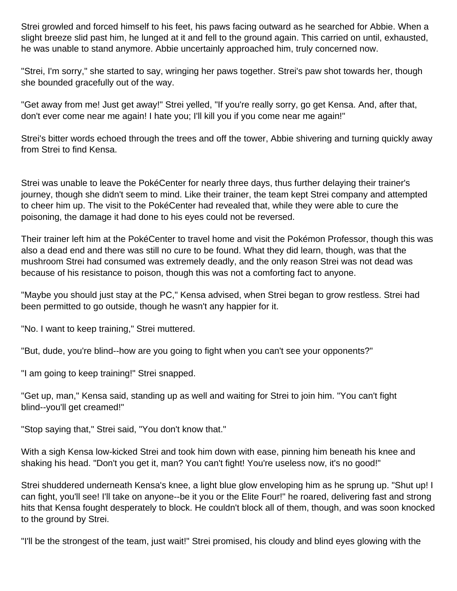Strei growled and forced himself to his feet, his paws facing outward as he searched for Abbie. When a slight breeze slid past him, he lunged at it and fell to the ground again. This carried on until, exhausted, he was unable to stand anymore. Abbie uncertainly approached him, truly concerned now.

"Strei, I'm sorry," she started to say, wringing her paws together. Strei's paw shot towards her, though she bounded gracefully out of the way.

"Get away from me! Just get away!" Strei yelled, "If you're really sorry, go get Kensa. And, after that, don't ever come near me again! I hate you; I'll kill you if you come near me again!"

Strei's bitter words echoed through the trees and off the tower, Abbie shivering and turning quickly away from Strei to find Kensa.

Strei was unable to leave the PokéCenter for nearly three days, thus further delaying their trainer's journey, though she didn't seem to mind. Like their trainer, the team kept Strei company and attempted to cheer him up. The visit to the PokéCenter had revealed that, while they were able to cure the poisoning, the damage it had done to his eyes could not be reversed.

Their trainer left him at the PokéCenter to travel home and visit the Pokémon Professor, though this was also a dead end and there was still no cure to be found. What they did learn, though, was that the mushroom Strei had consumed was extremely deadly, and the only reason Strei was not dead was because of his resistance to poison, though this was not a comforting fact to anyone.

"Maybe you should just stay at the PC," Kensa advised, when Strei began to grow restless. Strei had been permitted to go outside, though he wasn't any happier for it.

"No. I want to keep training," Strei muttered.

"But, dude, you're blind--how are you going to fight when you can't see your opponents?"

"I am going to keep training!" Strei snapped.

"Get up, man," Kensa said, standing up as well and waiting for Strei to join him. "You can't fight blind--you'll get creamed!"

"Stop saying that," Strei said, "You don't know that."

With a sigh Kensa low-kicked Strei and took him down with ease, pinning him beneath his knee and shaking his head. "Don't you get it, man? You can't fight! You're useless now, it's no good!"

Strei shuddered underneath Kensa's knee, a light blue glow enveloping him as he sprung up. "Shut up! I can fight, you'll see! I'll take on anyone--be it you or the Elite Four!" he roared, delivering fast and strong hits that Kensa fought desperately to block. He couldn't block all of them, though, and was soon knocked to the ground by Strei.

"I'll be the strongest of the team, just wait!" Strei promised, his cloudy and blind eyes glowing with the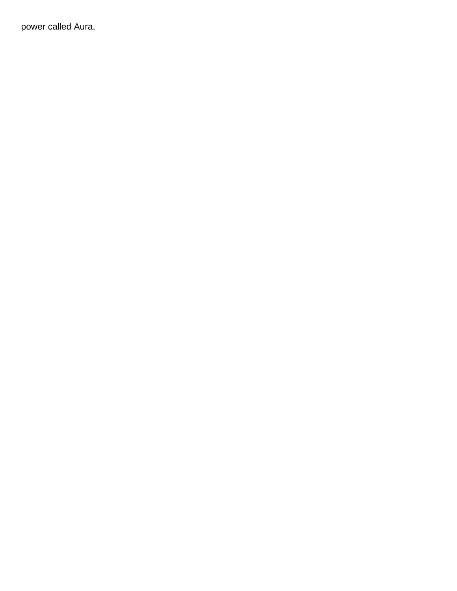power called Aura.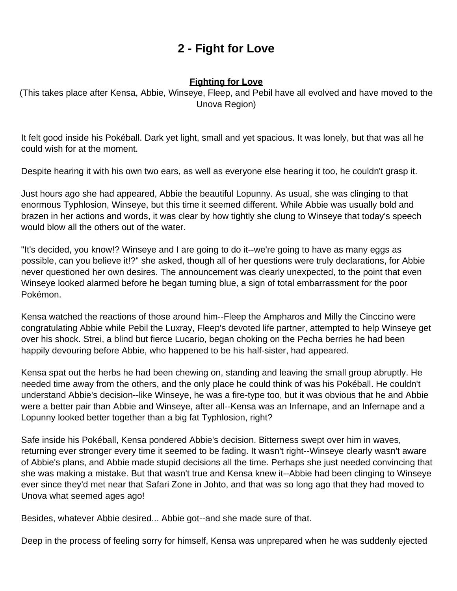# **2 - Fight for Love**

#### **Fighting for Love**

<span id="page-6-0"></span>(This takes place after Kensa, Abbie, Winseye, Fleep, and Pebil have all evolved and have moved to the Unova Region)

It felt good inside his Pokéball. Dark yet light, small and yet spacious. It was lonely, but that was all he could wish for at the moment.

Despite hearing it with his own two ears, as well as everyone else hearing it too, he couldn't grasp it.

Just hours ago she had appeared, Abbie the beautiful Lopunny. As usual, she was clinging to that enormous Typhlosion, Winseye, but this time it seemed different. While Abbie was usually bold and brazen in her actions and words, it was clear by how tightly she clung to Winseye that today's speech would blow all the others out of the water.

"It's decided, you know!? Winseye and I are going to do it--we're going to have as many eggs as possible, can you believe it!?" she asked, though all of her questions were truly declarations, for Abbie never questioned her own desires. The announcement was clearly unexpected, to the point that even Winseye looked alarmed before he began turning blue, a sign of total embarrassment for the poor Pokémon.

Kensa watched the reactions of those around him--Fleep the Ampharos and Milly the Cinccino were congratulating Abbie while Pebil the Luxray, Fleep's devoted life partner, attempted to help Winseye get over his shock. Strei, a blind but fierce Lucario, began choking on the Pecha berries he had been happily devouring before Abbie, who happened to be his half-sister, had appeared.

Kensa spat out the herbs he had been chewing on, standing and leaving the small group abruptly. He needed time away from the others, and the only place he could think of was his Pokéball. He couldn't understand Abbie's decision--like Winseye, he was a fire-type too, but it was obvious that he and Abbie were a better pair than Abbie and Winseye, after all--Kensa was an Infernape, and an Infernape and a Lopunny looked better together than a big fat Typhlosion, right?

Safe inside his Pokéball, Kensa pondered Abbie's decision. Bitterness swept over him in waves, returning ever stronger every time it seemed to be fading. It wasn't right--Winseye clearly wasn't aware of Abbie's plans, and Abbie made stupid decisions all the time. Perhaps she just needed convincing that she was making a mistake. But that wasn't true and Kensa knew it--Abbie had been clinging to Winseye ever since they'd met near that Safari Zone in Johto, and that was so long ago that they had moved to Unova what seemed ages ago!

Besides, whatever Abbie desired... Abbie got--and she made sure of that.

Deep in the process of feeling sorry for himself, Kensa was unprepared when he was suddenly ejected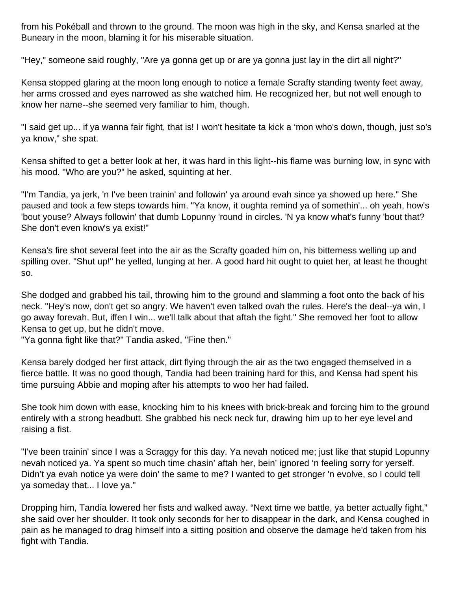from his Pokéball and thrown to the ground. The moon was high in the sky, and Kensa snarled at the Buneary in the moon, blaming it for his miserable situation.

"Hey," someone said roughly, "Are ya gonna get up or are ya gonna just lay in the dirt all night?"

Kensa stopped glaring at the moon long enough to notice a female Scrafty standing twenty feet away, her arms crossed and eyes narrowed as she watched him. He recognized her, but not well enough to know her name--she seemed very familiar to him, though.

"I said get up... if ya wanna fair fight, that is! I won't hesitate ta kick a 'mon who's down, though, just so's ya know," she spat.

Kensa shifted to get a better look at her, it was hard in this light--his flame was burning low, in sync with his mood. "Who are you?" he asked, squinting at her.

"I'm Tandia, ya jerk, 'n I've been trainin' and followin' ya around evah since ya showed up here." She paused and took a few steps towards him. "Ya know, it oughta remind ya of somethin'... oh yeah, how's 'bout youse? Always followin' that dumb Lopunny 'round in circles. 'N ya know what's funny 'bout that? She don't even know's ya exist!"

Kensa's fire shot several feet into the air as the Scrafty goaded him on, his bitterness welling up and spilling over. "Shut up!" he yelled, lunging at her. A good hard hit ought to quiet her, at least he thought so.

She dodged and grabbed his tail, throwing him to the ground and slamming a foot onto the back of his neck. "Hey's now, don't get so angry. We haven't even talked ovah the rules. Here's the deal--ya win, I go away forevah. But, iffen I win... we'll talk about that aftah the fight." She removed her foot to allow Kensa to get up, but he didn't move.

"Ya gonna fight like that?" Tandia asked, "Fine then."

Kensa barely dodged her first attack, dirt flying through the air as the two engaged themselved in a fierce battle. It was no good though, Tandia had been training hard for this, and Kensa had spent his time pursuing Abbie and moping after his attempts to woo her had failed.

She took him down with ease, knocking him to his knees with brick-break and forcing him to the ground entirely with a strong headbutt. She grabbed his neck neck fur, drawing him up to her eye level and raising a fist.

"I've been trainin' since I was a Scraggy for this day. Ya nevah noticed me; just like that stupid Lopunny nevah noticed ya. Ya spent so much time chasin' aftah her, bein' ignored 'n feeling sorry for yerself. Didn't ya evah notice ya were doin' the same to me? I wanted to get stronger 'n evolve, so I could tell ya someday that... I love ya."

Dropping him, Tandia lowered her fists and walked away. "Next time we battle, ya better actually fight," she said over her shoulder. It took only seconds for her to disappear in the dark, and Kensa coughed in pain as he managed to drag himself into a sitting position and observe the damage he'd taken from his fight with Tandia.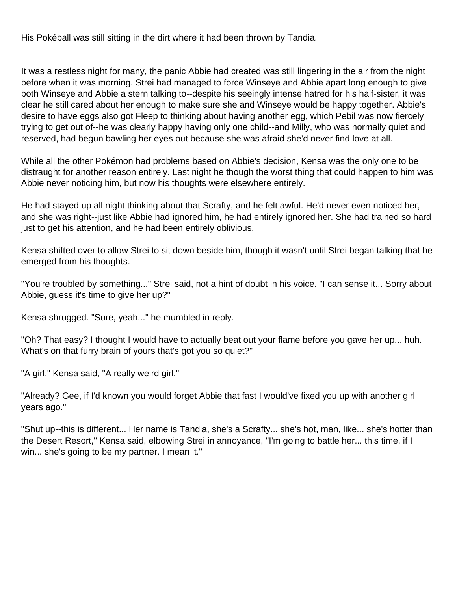His Pokéball was still sitting in the dirt where it had been thrown by Tandia.

It was a restless night for many, the panic Abbie had created was still lingering in the air from the night before when it was morning. Strei had managed to force Winseye and Abbie apart long enough to give both Winseye and Abbie a stern talking to--despite his seeingly intense hatred for his half-sister, it was clear he still cared about her enough to make sure she and Winseye would be happy together. Abbie's desire to have eggs also got Fleep to thinking about having another egg, which Pebil was now fiercely trying to get out of--he was clearly happy having only one child--and Milly, who was normally quiet and reserved, had begun bawling her eyes out because she was afraid she'd never find love at all.

While all the other Pokémon had problems based on Abbie's decision, Kensa was the only one to be distraught for another reason entirely. Last night he though the worst thing that could happen to him was Abbie never noticing him, but now his thoughts were elsewhere entirely.

He had stayed up all night thinking about that Scrafty, and he felt awful. He'd never even noticed her, and she was right--just like Abbie had ignored him, he had entirely ignored her. She had trained so hard just to get his attention, and he had been entirely oblivious.

Kensa shifted over to allow Strei to sit down beside him, though it wasn't until Strei began talking that he emerged from his thoughts.

"You're troubled by something..." Strei said, not a hint of doubt in his voice. "I can sense it... Sorry about Abbie, guess it's time to give her up?"

Kensa shrugged. "Sure, yeah..." he mumbled in reply.

"Oh? That easy? I thought I would have to actually beat out your flame before you gave her up... huh. What's on that furry brain of yours that's got you so quiet?"

"A girl," Kensa said, "A really weird girl."

"Already? Gee, if I'd known you would forget Abbie that fast I would've fixed you up with another girl years ago."

"Shut up--this is different... Her name is Tandia, she's a Scrafty... she's hot, man, like... she's hotter than the Desert Resort," Kensa said, elbowing Strei in annoyance, "I'm going to battle her... this time, if I win... she's going to be my partner. I mean it."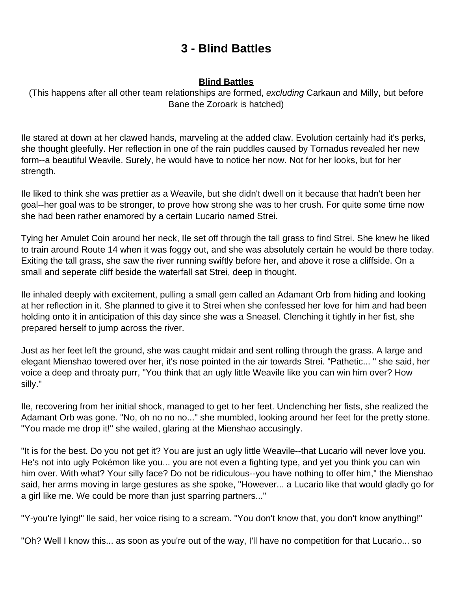### **3 - Blind Battles**

#### **Blind Battles**

<span id="page-9-0"></span>(This happens after all other team relationships are formed, excluding Carkaun and Milly, but before Bane the Zoroark is hatched)

Ile stared at down at her clawed hands, marveling at the added claw. Evolution certainly had it's perks, she thought gleefully. Her reflection in one of the rain puddles caused by Tornadus revealed her new form--a beautiful Weavile. Surely, he would have to notice her now. Not for her looks, but for her strength.

Ile liked to think she was prettier as a Weavile, but she didn't dwell on it because that hadn't been her goal--her goal was to be stronger, to prove how strong she was to her crush. For quite some time now she had been rather enamored by a certain Lucario named Strei.

Tying her Amulet Coin around her neck, Ile set off through the tall grass to find Strei. She knew he liked to train around Route 14 when it was foggy out, and she was absolutely certain he would be there today. Exiting the tall grass, she saw the river running swiftly before her, and above it rose a cliffside. On a small and seperate cliff beside the waterfall sat Strei, deep in thought.

Ile inhaled deeply with excitement, pulling a small gem called an Adamant Orb from hiding and looking at her reflection in it. She planned to give it to Strei when she confessed her love for him and had been holding onto it in anticipation of this day since she was a Sneasel. Clenching it tightly in her fist, she prepared herself to jump across the river.

Just as her feet left the ground, she was caught midair and sent rolling through the grass. A large and elegant Mienshao towered over her, it's nose pointed in the air towards Strei. "Pathetic... " she said, her voice a deep and throaty purr, "You think that an ugly little Weavile like you can win him over? How silly."

Ile, recovering from her initial shock, managed to get to her feet. Unclenching her fists, she realized the Adamant Orb was gone. "No, oh no no no..." she mumbled, looking around her feet for the pretty stone. "You made me drop it!" she wailed, glaring at the Mienshao accusingly.

"It is for the best. Do you not get it? You are just an ugly little Weavile--that Lucario will never love you. He's not into ugly Pokémon like you... you are not even a fighting type, and yet you think you can win him over. With what? Your silly face? Do not be ridiculous--you have nothing to offer him," the Mienshao said, her arms moving in large gestures as she spoke, "However... a Lucario like that would gladly go for a girl like me. We could be more than just sparring partners..."

"Y-you're lying!" Ile said, her voice rising to a scream. "You don't know that, you don't know anything!"

"Oh? Well I know this... as soon as you're out of the way, I'll have no competition for that Lucario... so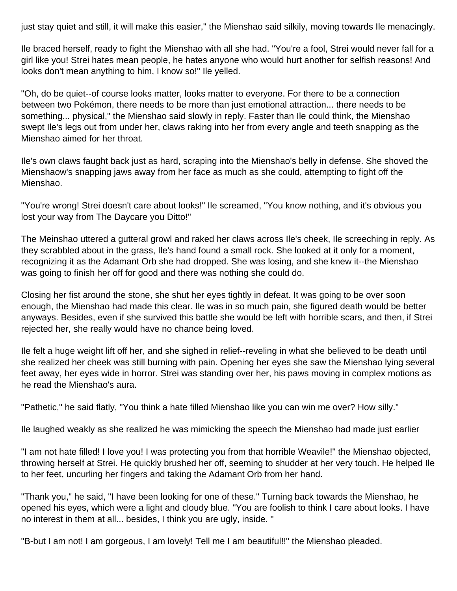just stay quiet and still, it will make this easier," the Mienshao said silkily, moving towards Ile menacingly.

Ile braced herself, ready to fight the Mienshao with all she had. "You're a fool, Strei would never fall for a girl like you! Strei hates mean people, he hates anyone who would hurt another for selfish reasons! And looks don't mean anything to him, I know so!" Ile yelled.

"Oh, do be quiet--of course looks matter, looks matter to everyone. For there to be a connection between two Pokémon, there needs to be more than just emotional attraction... there needs to be something... physical," the Mienshao said slowly in reply. Faster than Ile could think, the Mienshao swept Ile's legs out from under her, claws raking into her from every angle and teeth snapping as the Mienshao aimed for her throat.

Ile's own claws faught back just as hard, scraping into the Mienshao's belly in defense. She shoved the Mienshaow's snapping jaws away from her face as much as she could, attempting to fight off the Mienshao.

"You're wrong! Strei doesn't care about looks!" Ile screamed, "You know nothing, and it's obvious you lost your way from The Daycare you Ditto!"

The Meinshao uttered a gutteral growl and raked her claws across Ile's cheek, Ile screeching in reply. As they scrabbled about in the grass, Ile's hand found a small rock. She looked at it only for a moment, recognizing it as the Adamant Orb she had dropped. She was losing, and she knew it--the Mienshao was going to finish her off for good and there was nothing she could do.

Closing her fist around the stone, she shut her eyes tightly in defeat. It was going to be over soon enough, the Mienshao had made this clear. Ile was in so much pain, she figured death would be better anyways. Besides, even if she survived this battle she would be left with horrible scars, and then, if Strei rejected her, she really would have no chance being loved.

Ile felt a huge weight lift off her, and she sighed in relief--reveling in what she believed to be death until she realized her cheek was still burning with pain. Opening her eyes she saw the Mienshao lying several feet away, her eyes wide in horror. Strei was standing over her, his paws moving in complex motions as he read the Mienshao's aura.

"Pathetic," he said flatly, "You think a hate filled Mienshao like you can win me over? How silly."

Ile laughed weakly as she realized he was mimicking the speech the Mienshao had made just earlier

"I am not hate filled! I love you! I was protecting you from that horrible Weavile!" the Mienshao objected, throwing herself at Strei. He quickly brushed her off, seeming to shudder at her very touch. He helped Ile to her feet, uncurling her fingers and taking the Adamant Orb from her hand.

"Thank you," he said, "I have been looking for one of these." Turning back towards the Mienshao, he opened his eyes, which were a light and cloudy blue. "You are foolish to think I care about looks. I have no interest in them at all... besides, I think you are ugly, inside. "

"B-but I am not! I am gorgeous, I am lovely! Tell me I am beautiful!!" the Mienshao pleaded.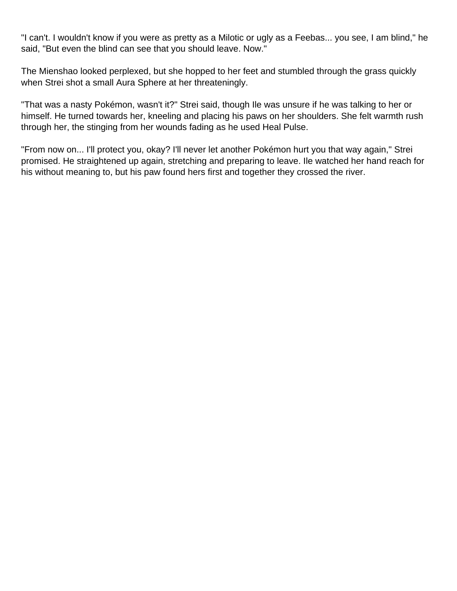"I can't. I wouldn't know if you were as pretty as a Milotic or ugly as a Feebas... you see, I am blind," he said, "But even the blind can see that you should leave. Now."

The Mienshao looked perplexed, but she hopped to her feet and stumbled through the grass quickly when Strei shot a small Aura Sphere at her threateningly.

"That was a nasty Pokémon, wasn't it?" Strei said, though Ile was unsure if he was talking to her or himself. He turned towards her, kneeling and placing his paws on her shoulders. She felt warmth rush through her, the stinging from her wounds fading as he used Heal Pulse.

"From now on... I'll protect you, okay? I'll never let another Pokémon hurt you that way again," Strei promised. He straightened up again, stretching and preparing to leave. Ile watched her hand reach for his without meaning to, but his paw found hers first and together they crossed the river.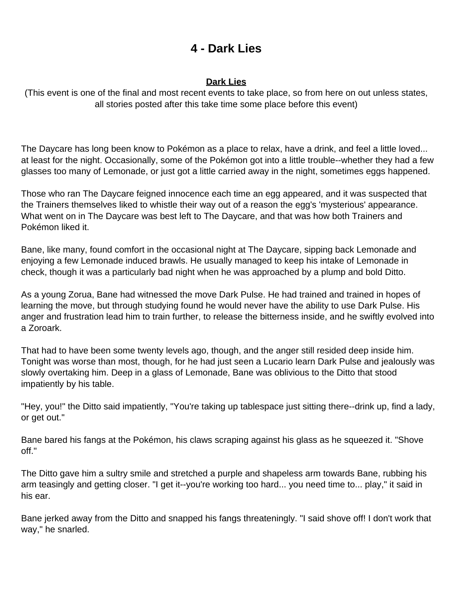### **4 - Dark Lies**

#### **Dark Lies**

<span id="page-12-0"></span>(This event is one of the final and most recent events to take place, so from here on out unless states, all stories posted after this take time some place before this event)

The Daycare has long been know to Pokémon as a place to relax, have a drink, and feel a little loved... at least for the night. Occasionally, some of the Pokémon got into a little trouble--whether they had a few glasses too many of Lemonade, or just got a little carried away in the night, sometimes eggs happened.

Those who ran The Daycare feigned innocence each time an egg appeared, and it was suspected that the Trainers themselves liked to whistle their way out of a reason the egg's 'mysterious' appearance. What went on in The Daycare was best left to The Daycare, and that was how both Trainers and Pokémon liked it.

Bane, like many, found comfort in the occasional night at The Daycare, sipping back Lemonade and enjoying a few Lemonade induced brawls. He usually managed to keep his intake of Lemonade in check, though it was a particularly bad night when he was approached by a plump and bold Ditto.

As a young Zorua, Bane had witnessed the move Dark Pulse. He had trained and trained in hopes of learning the move, but through studying found he would never have the ability to use Dark Pulse. His anger and frustration lead him to train further, to release the bitterness inside, and he swiftly evolved into a Zoroark.

That had to have been some twenty levels ago, though, and the anger still resided deep inside him. Tonight was worse than most, though, for he had just seen a Lucario learn Dark Pulse and jealously was slowly overtaking him. Deep in a glass of Lemonade, Bane was oblivious to the Ditto that stood impatiently by his table.

"Hey, you!" the Ditto said impatiently, "You're taking up tablespace just sitting there--drink up, find a lady, or get out."

Bane bared his fangs at the Pokémon, his claws scraping against his glass as he squeezed it. "Shove off."

The Ditto gave him a sultry smile and stretched a purple and shapeless arm towards Bane, rubbing his arm teasingly and getting closer. "I get it--you're working too hard... you need time to... play," it said in his ear.

Bane jerked away from the Ditto and snapped his fangs threateningly. "I said shove off! I don't work that way," he snarled.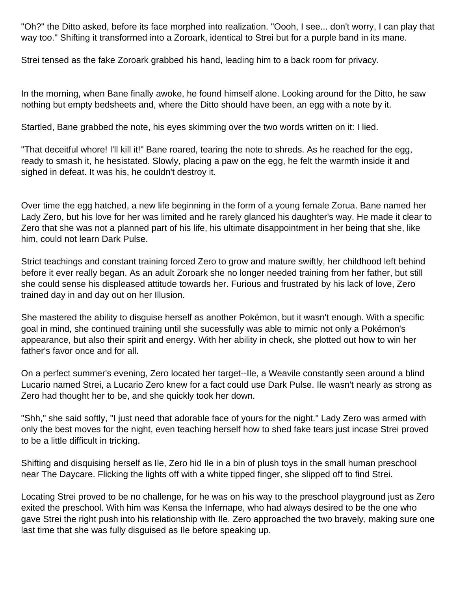"Oh?" the Ditto asked, before its face morphed into realization. "Oooh, I see... don't worry, I can play that way too." Shifting it transformed into a Zoroark, identical to Strei but for a purple band in its mane.

Strei tensed as the fake Zoroark grabbed his hand, leading him to a back room for privacy.

In the morning, when Bane finally awoke, he found himself alone. Looking around for the Ditto, he saw nothing but empty bedsheets and, where the Ditto should have been, an egg with a note by it.

Startled, Bane grabbed the note, his eyes skimming over the two words written on it: I lied.

"That deceitful whore! I'll kill it!" Bane roared, tearing the note to shreds. As he reached for the egg, ready to smash it, he hesistated. Slowly, placing a paw on the egg, he felt the warmth inside it and sighed in defeat. It was his, he couldn't destroy it.

Over time the egg hatched, a new life beginning in the form of a young female Zorua. Bane named her Lady Zero, but his love for her was limited and he rarely glanced his daughter's way. He made it clear to Zero that she was not a planned part of his life, his ultimate disappointment in her being that she, like him, could not learn Dark Pulse.

Strict teachings and constant training forced Zero to grow and mature swiftly, her childhood left behind before it ever really began. As an adult Zoroark she no longer needed training from her father, but still she could sense his displeased attitude towards her. Furious and frustrated by his lack of love, Zero trained day in and day out on her Illusion.

She mastered the ability to disguise herself as another Pokémon, but it wasn't enough. With a specific goal in mind, she continued training until she sucessfully was able to mimic not only a Pokémon's appearance, but also their spirit and energy. With her ability in check, she plotted out how to win her father's favor once and for all.

On a perfect summer's evening, Zero located her target--Ile, a Weavile constantly seen around a blind Lucario named Strei, a Lucario Zero knew for a fact could use Dark Pulse. Ile wasn't nearly as strong as Zero had thought her to be, and she quickly took her down.

"Shh," she said softly, "I just need that adorable face of yours for the night." Lady Zero was armed with only the best moves for the night, even teaching herself how to shed fake tears just incase Strei proved to be a little difficult in tricking.

Shifting and disquising herself as Ile, Zero hid Ile in a bin of plush toys in the small human preschool near The Daycare. Flicking the lights off with a white tipped finger, she slipped off to find Strei.

Locating Strei proved to be no challenge, for he was on his way to the preschool playground just as Zero exited the preschool. With him was Kensa the Infernape, who had always desired to be the one who gave Strei the right push into his relationship with Ile. Zero approached the two bravely, making sure one last time that she was fully disguised as Ile before speaking up.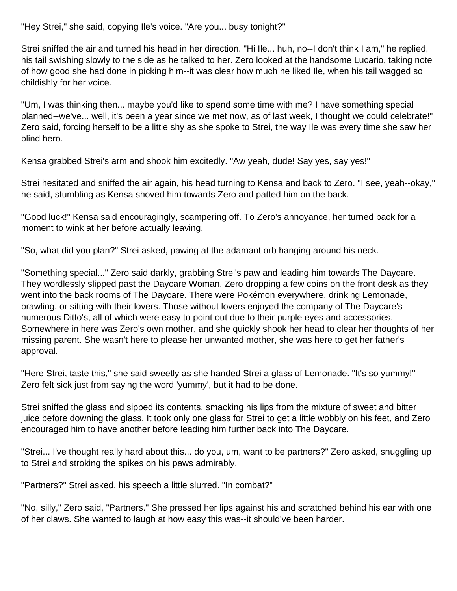"Hey Strei," she said, copying Ile's voice. "Are you... busy tonight?"

Strei sniffed the air and turned his head in her direction. "Hi Ile... huh, no--I don't think I am," he replied, his tail swishing slowly to the side as he talked to her. Zero looked at the handsome Lucario, taking note of how good she had done in picking him--it was clear how much he liked Ile, when his tail wagged so childishly for her voice.

"Um, I was thinking then... maybe you'd like to spend some time with me? I have something special planned--we've... well, it's been a year since we met now, as of last week, I thought we could celebrate!" Zero said, forcing herself to be a little shy as she spoke to Strei, the way Ile was every time she saw her blind hero.

Kensa grabbed Strei's arm and shook him excitedly. "Aw yeah, dude! Say yes, say yes!"

Strei hesitated and sniffed the air again, his head turning to Kensa and back to Zero. "I see, yeah--okay," he said, stumbling as Kensa shoved him towards Zero and patted him on the back.

"Good luck!" Kensa said encouragingly, scampering off. To Zero's annoyance, her turned back for a moment to wink at her before actually leaving.

"So, what did you plan?" Strei asked, pawing at the adamant orb hanging around his neck.

"Something special..." Zero said darkly, grabbing Strei's paw and leading him towards The Daycare. They wordlessly slipped past the Daycare Woman, Zero dropping a few coins on the front desk as they went into the back rooms of The Daycare. There were Pokémon everywhere, drinking Lemonade, brawling, or sitting with their lovers. Those without lovers enjoyed the company of The Daycare's numerous Ditto's, all of which were easy to point out due to their purple eyes and accessories. Somewhere in here was Zero's own mother, and she quickly shook her head to clear her thoughts of her missing parent. She wasn't here to please her unwanted mother, she was here to get her father's approval.

"Here Strei, taste this," she said sweetly as she handed Strei a glass of Lemonade. "It's so yummy!" Zero felt sick just from saying the word 'yummy', but it had to be done.

Strei sniffed the glass and sipped its contents, smacking his lips from the mixture of sweet and bitter juice before downing the glass. It took only one glass for Strei to get a little wobbly on his feet, and Zero encouraged him to have another before leading him further back into The Daycare.

"Strei... I've thought really hard about this... do you, um, want to be partners?" Zero asked, snuggling up to Strei and stroking the spikes on his paws admirably.

"Partners?" Strei asked, his speech a little slurred. "In combat?"

"No, silly," Zero said, "Partners." She pressed her lips against his and scratched behind his ear with one of her claws. She wanted to laugh at how easy this was--it should've been harder.